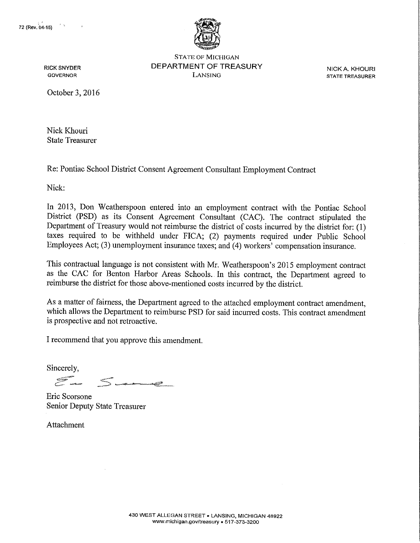

STATE OF MICHIGAN RICK SNYDER DEPARTMENT OF TREASURY NICK A. KHOURI

**GTATE TREASURER** 

October 3, 2016

Nick Khouri State Treasurer

Re: Pontiac School District Consent Agreement Consultant Employment Contract

Nick:

In 2013, Don Weatherspoon entered into an employment contract with the Pontiac School District (PSD) as its Consent Agreement Consultant (CAC). The contract stipulated the Department of Treasury would not reimburse the district of costs incurred by the district for: (I) taxes required to be withheld under FICA; (2) payments required under Public School Employees Act; (3) unemployment insurance taxes; and (4) workers' compensation insurance.

This contractual language is not consistent with Mr. Weatherspoon's 2015 employment contract as the CAC for Benton Harbor Areas Schools. In this contract, the Department agreed to reimburse the district for those above-mentioned costs incurred by the district.

As a matter of fairness, the Department agreed to the attached employment contract amendment, which allows the Department to reimburse PSD for said incuned costs. This contract amendment is prospective and not retroactive.

I recommend that you approve this amendment.

Sincerely,

and the contract of the contract of the contract of the contract of the contract of the contract of the contract of the contract of the contract of the contract of the contract of the contract of the contract of the contra and a straightful and the state of the control of the control of the control of the control of the control of<br>a control of the control of the control of the control of the control of the control of the control of the contr

Eric Scorsone Senior Deputy State Treasurer

**Attachment**